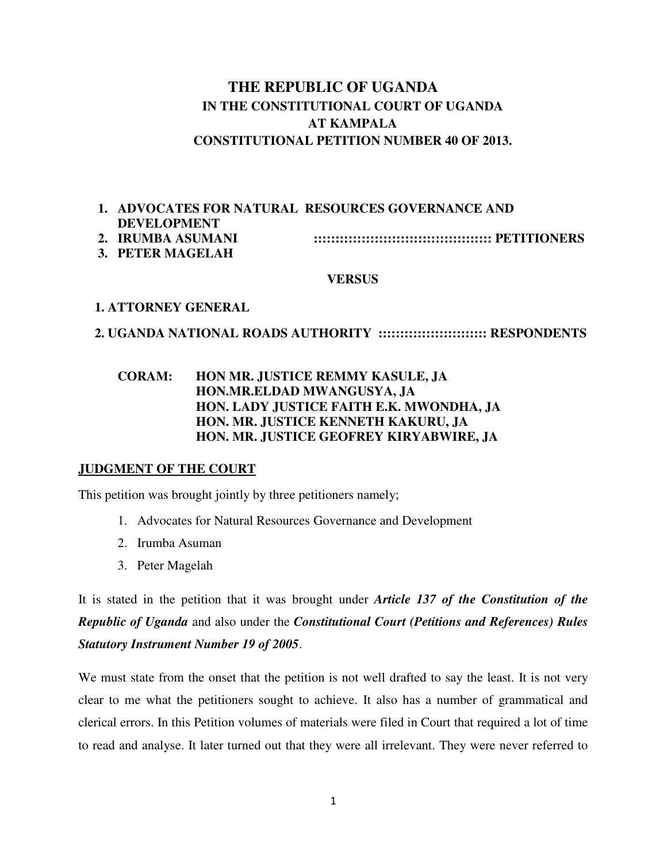# **THE REPUBLIC OF UGANDA IN THE CONSTITUTIONAL COURT OF UGANDA AT KAMPALA CONSTITUTIONAL PETITION NUMBER 40 OF 2013.**

# **1. ADVOCATES FOR NATURAL RESOURCES GOVERNANCE AND DEVELOPMENT**

- **2. IRUMBA ASUMANI ::::::::::::::::::::::::::::::::::::::::: PETITIONERS**
- **3. PETER MAGELAH**

#### **VERSUS**

### **1. ATTORNEY GENERAL**

### **2. UGANDA NATIONAL ROADS AUTHORITY ::::::::::::::::::::::::: RESPONDENTS**

### **CORAM: HON MR. JUSTICE REMMY KASULE, JA HON.MR.ELDAD MWANGUSYA, JA HON. LADY JUSTICE FAITH E.K. MWONDHA, JA HON. MR. JUSTICE KENNETH KAKURU, JA HON. MR. JUSTICE GEOFREY KIRYABWIRE, JA**

### **JUDGMENT OF THE COURT**

This petition was brought jointly by three petitioners namely;

- 1. Advocates for Natural Resources Governance and Development
- 2. Irumba Asuman
- 3. Peter Magelah

It is stated in the petition that it was brought under *Article 137 of the Constitution of the Republic of Uganda* and also under the *Constitutional Court (Petitions and References) Rules Statutory Instrument Number 19 of 2005*.

We must state from the onset that the petition is not well drafted to say the least. It is not very clear to me what the petitioners sought to achieve. It also has a number of grammatical and clerical errors. In this Petition volumes of materials were filed in Court that required a lot of time to read and analyse. It later turned out that they were all irrelevant. They were never referred to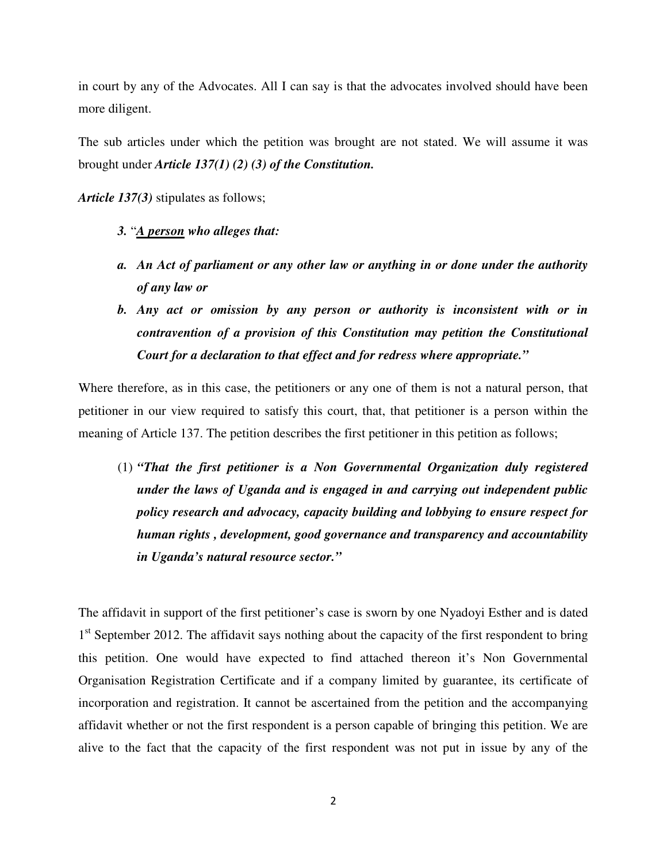in court by any of the Advocates. All I can say is that the advocates involved should have been more diligent.

The sub articles under which the petition was brought are not stated. We will assume it was brought under *Article 137(1) (2) (3) of the Constitution.* 

*Article 137(3)* stipulates as follows;

- *3.* "*A person who alleges that:*
- *a. An Act of parliament or any other law or anything in or done under the authority of any law or*
- *b. Any act or omission by any person or authority is inconsistent with or in contravention of a provision of this Constitution may petition the Constitutional Court for a declaration to that effect and for redress where appropriate."*

Where therefore, as in this case, the petitioners or any one of them is not a natural person, that petitioner in our view required to satisfy this court, that, that petitioner is a person within the meaning of Article 137. The petition describes the first petitioner in this petition as follows;

(1) *"That the first petitioner is a Non Governmental Organization duly registered under the laws of Uganda and is engaged in and carrying out independent public policy research and advocacy, capacity building and lobbying to ensure respect for human rights , development, good governance and transparency and accountability in Uganda's natural resource sector."*

The affidavit in support of the first petitioner's case is sworn by one Nyadoyi Esther and is dated 1<sup>st</sup> September 2012. The affidavit says nothing about the capacity of the first respondent to bring this petition. One would have expected to find attached thereon it's Non Governmental Organisation Registration Certificate and if a company limited by guarantee, its certificate of incorporation and registration. It cannot be ascertained from the petition and the accompanying affidavit whether or not the first respondent is a person capable of bringing this petition. We are alive to the fact that the capacity of the first respondent was not put in issue by any of the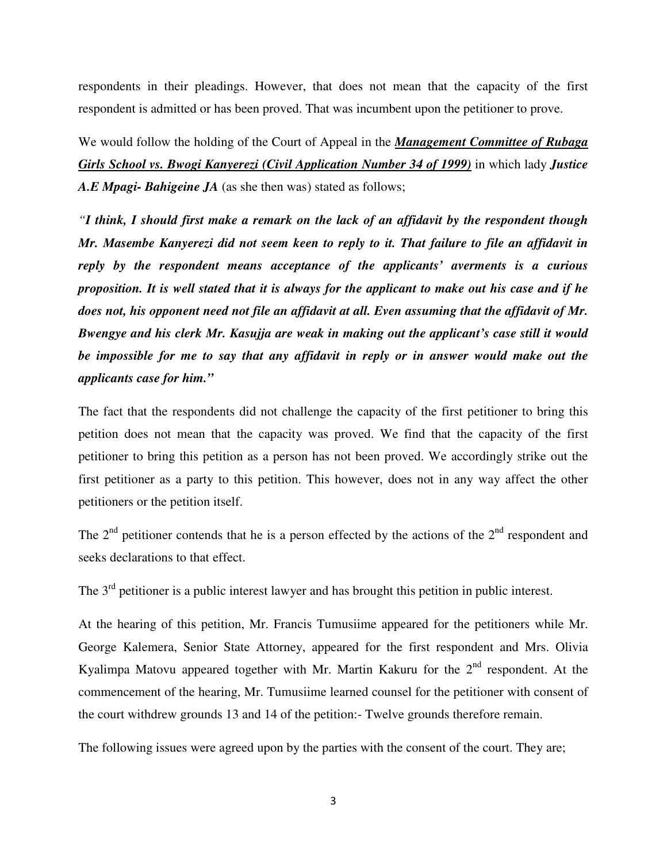respondents in their pleadings. However, that does not mean that the capacity of the first respondent is admitted or has been proved. That was incumbent upon the petitioner to prove.

We would follow the holding of the Court of Appeal in the *Management Committee of Rubaga Girls School vs. Bwogi Kanyerezi (Civil Application Number 34 of 1999)* in which lady *Justice A.E Mpagi- Bahigeine JA* (as she then was) stated as follows;

*"I think, I should first make a remark on the lack of an affidavit by the respondent though Mr. Masembe Kanyerezi did not seem keen to reply to it. That failure to file an affidavit in reply by the respondent means acceptance of the applicants' averments is a curious proposition. It is well stated that it is always for the applicant to make out his case and if he does not, his opponent need not file an affidavit at all. Even assuming that the affidavit of Mr. Bwengye and his clerk Mr. Kasujja are weak in making out the applicant's case still it would be impossible for me to say that any affidavit in reply or in answer would make out the applicants case for him."* 

The fact that the respondents did not challenge the capacity of the first petitioner to bring this petition does not mean that the capacity was proved. We find that the capacity of the first petitioner to bring this petition as a person has not been proved. We accordingly strike out the first petitioner as a party to this petition. This however, does not in any way affect the other petitioners or the petition itself.

The  $2<sup>nd</sup>$  petitioner contends that he is a person effected by the actions of the  $2<sup>nd</sup>$  respondent and seeks declarations to that effect.

The 3<sup>rd</sup> petitioner is a public interest lawyer and has brought this petition in public interest.

At the hearing of this petition, Mr. Francis Tumusiime appeared for the petitioners while Mr. George Kalemera, Senior State Attorney, appeared for the first respondent and Mrs. Olivia Kyalimpa Matovu appeared together with Mr. Martin Kakuru for the  $2<sup>nd</sup>$  respondent. At the commencement of the hearing, Mr. Tumusiime learned counsel for the petitioner with consent of the court withdrew grounds 13 and 14 of the petition:- Twelve grounds therefore remain.

The following issues were agreed upon by the parties with the consent of the court. They are;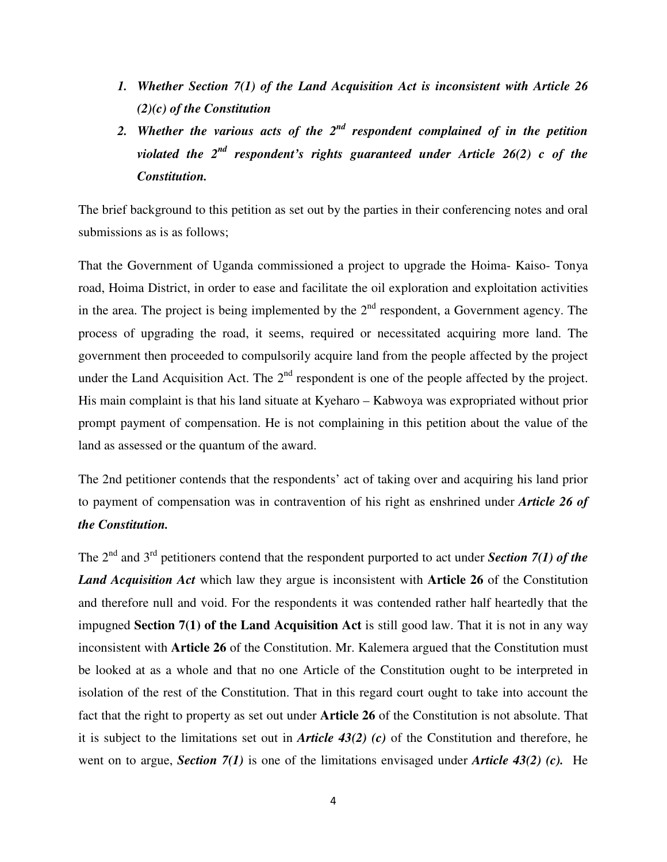- *1. Whether Section 7(1) of the Land Acquisition Act is inconsistent with Article 26 (2)(c) of the Constitution*
- *2. Whether the various acts of the 2nd respondent complained of in the petition violated the 2nd respondent's rights guaranteed under Article 26(2) c of the Constitution.*

The brief background to this petition as set out by the parties in their conferencing notes and oral submissions as is as follows;

That the Government of Uganda commissioned a project to upgrade the Hoima- Kaiso- Tonya road, Hoima District, in order to ease and facilitate the oil exploration and exploitation activities in the area. The project is being implemented by the  $2<sup>nd</sup>$  respondent, a Government agency. The process of upgrading the road, it seems, required or necessitated acquiring more land. The government then proceeded to compulsorily acquire land from the people affected by the project under the Land Acquisition Act. The  $2<sup>nd</sup>$  respondent is one of the people affected by the project. His main complaint is that his land situate at Kyeharo – Kabwoya was expropriated without prior prompt payment of compensation. He is not complaining in this petition about the value of the land as assessed or the quantum of the award.

The 2nd petitioner contends that the respondents' act of taking over and acquiring his land prior to payment of compensation was in contravention of his right as enshrined under *Article 26 of the Constitution.* 

The 2<sup>nd</sup> and 3<sup>rd</sup> petitioners contend that the respondent purported to act under *Section 7(1) of the Land Acquisition Act* which law they argue is inconsistent with **Article 26** of the Constitution and therefore null and void. For the respondents it was contended rather half heartedly that the impugned **Section 7(1) of the Land Acquisition Act** is still good law. That it is not in any way inconsistent with **Article 26** of the Constitution. Mr. Kalemera argued that the Constitution must be looked at as a whole and that no one Article of the Constitution ought to be interpreted in isolation of the rest of the Constitution. That in this regard court ought to take into account the fact that the right to property as set out under **Article 26** of the Constitution is not absolute. That it is subject to the limitations set out in *Article 43(2) (c)* of the Constitution and therefore, he went on to argue, *Section 7(1)* is one of the limitations envisaged under *Article 43(2) (c).* He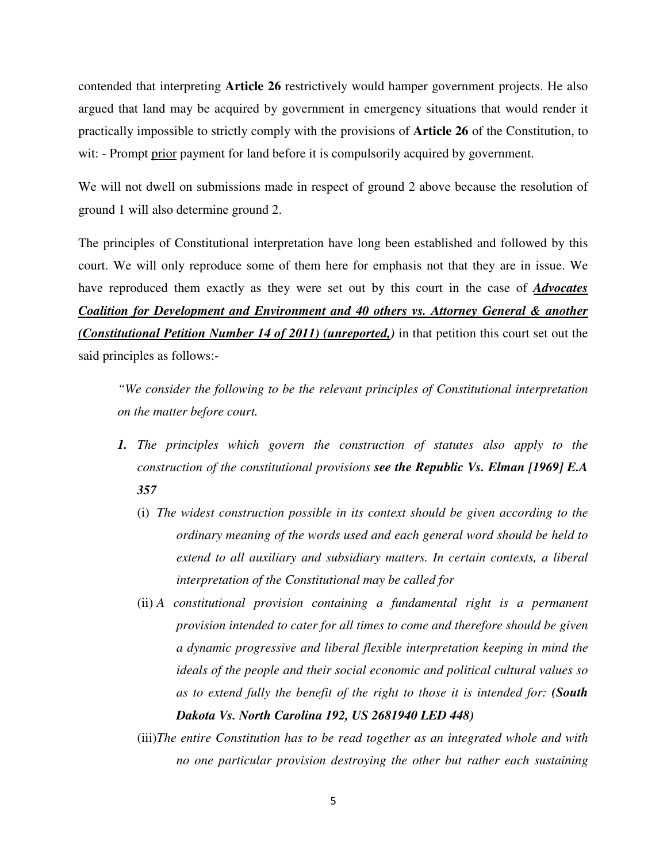contended that interpreting **Article 26** restrictively would hamper government projects. He also argued that land may be acquired by government in emergency situations that would render it practically impossible to strictly comply with the provisions of **Article 26** of the Constitution, to wit: - Prompt prior payment for land before it is compulsorily acquired by government.

We will not dwell on submissions made in respect of ground 2 above because the resolution of ground 1 will also determine ground 2.

The principles of Constitutional interpretation have long been established and followed by this court. We will only reproduce some of them here for emphasis not that they are in issue. We have reproduced them exactly as they were set out by this court in the case of *Advocates Coalition for Development and Environment and 40 others vs. Attorney General & another (Constitutional Petition Number 14 of 2011) (unreported,)* in that petition this court set out the said principles as follows:-

*"We consider the following to be the relevant principles of Constitutional interpretation on the matter before court.* 

- *1. The principles which govern the construction of statutes also apply to the construction of the constitutional provisions see the Republic Vs. Elman [1969] E.A 357* 
	- (i) *The widest construction possible in its context should be given according to the ordinary meaning of the words used and each general word should be held to extend to all auxiliary and subsidiary matters. In certain contexts, a liberal interpretation of the Constitutional may be called for*
	- (ii) *A constitutional provision containing a fundamental right is a permanent provision intended to cater for all times to come and therefore should be given a dynamic progressive and liberal flexible interpretation keeping in mind the ideals of the people and their social economic and political cultural values so as to extend fully the benefit of the right to those it is intended for: (South Dakota Vs. North Carolina 192, US 2681940 LED 448)*
	- (iii)*The entire Constitution has to be read together as an integrated whole and with no one particular provision destroying the other but rather each sustaining*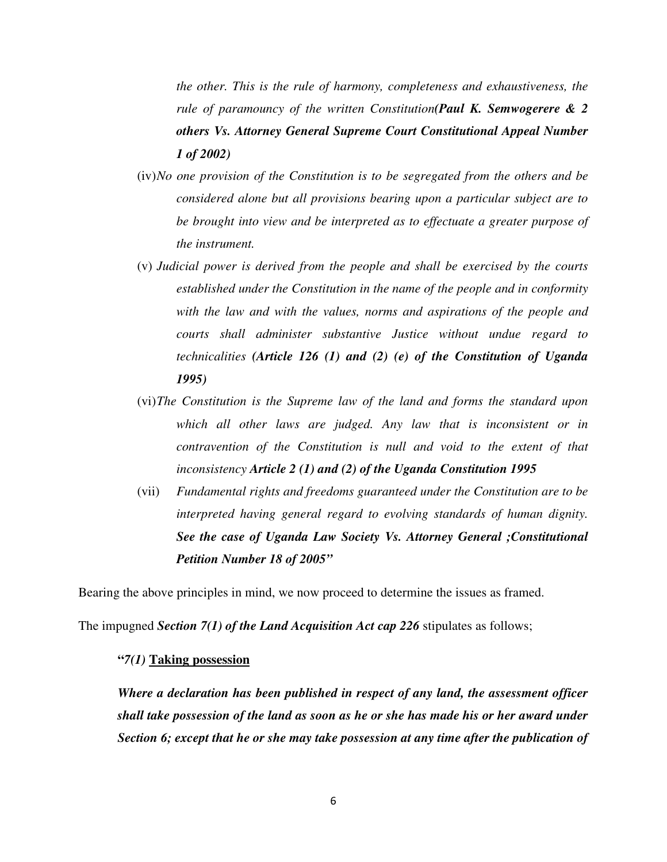*the other. This is the rule of harmony, completeness and exhaustiveness, the rule of paramouncy of the written Constitution(Paul K. Semwogerere & 2 others Vs. Attorney General Supreme Court Constitutional Appeal Number 1 of 2002)* 

- (iv)*No one provision of the Constitution is to be segregated from the others and be considered alone but all provisions bearing upon a particular subject are to be brought into view and be interpreted as to effectuate a greater purpose of the instrument.*
- (v) *Judicial power is derived from the people and shall be exercised by the courts established under the Constitution in the name of the people and in conformity with the law and with the values, norms and aspirations of the people and courts shall administer substantive Justice without undue regard to technicalities (Article 126 (1) and (2) (e) of the Constitution of Uganda 1995)*
- (vi)*The Constitution is the Supreme law of the land and forms the standard upon which all other laws are judged. Any law that is inconsistent or in contravention of the Constitution is null and void to the extent of that inconsistency Article 2 (1) and (2) of the Uganda Constitution 1995*
- (vii) *Fundamental rights and freedoms guaranteed under the Constitution are to be interpreted having general regard to evolving standards of human dignity. See the case of Uganda Law Society Vs. Attorney General ;Constitutional Petition Number 18 of 2005"*

Bearing the above principles in mind, we now proceed to determine the issues as framed.

The impugned *Section 7(1) of the Land Acquisition Act cap 226* stipulates as follows;

#### **"***7(1)* **Taking possession**

*Where a declaration has been published in respect of any land, the assessment officer shall take possession of the land as soon as he or she has made his or her award under Section 6; except that he or she may take possession at any time after the publication of*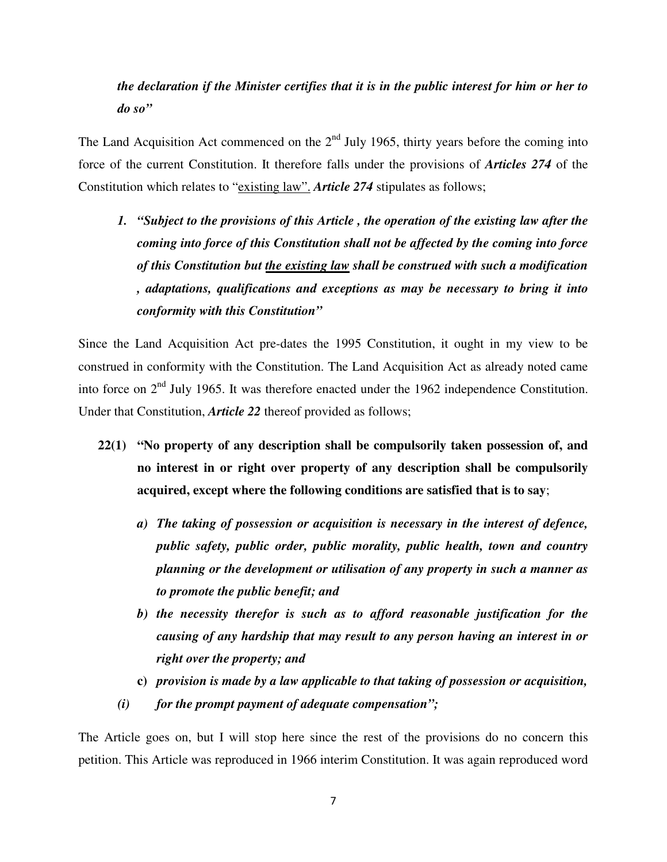# *the declaration if the Minister certifies that it is in the public interest for him or her to do so"*

The Land Acquisition Act commenced on the  $2<sup>nd</sup>$  July 1965, thirty years before the coming into force of the current Constitution. It therefore falls under the provisions of *Articles 274* of the Constitution which relates to "existing law". *Article 274* stipulates as follows;

*1. "Subject to the provisions of this Article , the operation of the existing law after the coming into force of this Constitution shall not be affected by the coming into force of this Constitution but the existing law shall be construed with such a modification , adaptations, qualifications and exceptions as may be necessary to bring it into conformity with this Constitution"* 

Since the Land Acquisition Act pre-dates the 1995 Constitution, it ought in my view to be construed in conformity with the Constitution. The Land Acquisition Act as already noted came into force on 2nd July 1965. It was therefore enacted under the 1962 independence Constitution. Under that Constitution, *Article 22* thereof provided as follows;

- **22(1) "No property of any description shall be compulsorily taken possession of, and no interest in or right over property of any description shall be compulsorily acquired, except where the following conditions are satisfied that is to say**;
	- *a) The taking of possession or acquisition is necessary in the interest of defence, public safety, public order, public morality, public health, town and country planning or the development or utilisation of any property in such a manner as to promote the public benefit; and*
	- *b) the necessity therefor is such as to afford reasonable justification for the causing of any hardship that may result to any person having an interest in or right over the property; and*
	- **c)** *provision is made by a law applicable to that taking of possession or acquisition,*
	- *(i) for the prompt payment of adequate compensation";*

The Article goes on, but I will stop here since the rest of the provisions do no concern this petition. This Article was reproduced in 1966 interim Constitution. It was again reproduced word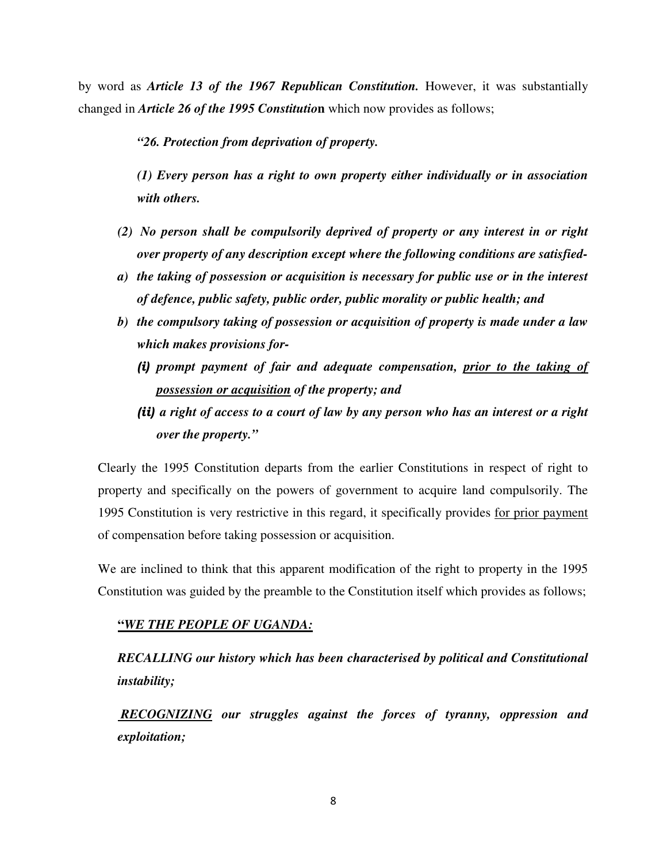by word as *Article 13 of the 1967 Republican Constitution.* However, it was substantially changed in *Article 26 of the 1995 Constitutio***n** which now provides as follows;

*"26. Protection from deprivation of property.* 

*(1) Every person has a right to own property either individually or in association with others.* 

- *(2) No person shall be compulsorily deprived of property or any interest in or right over property of any description except where the following conditions are satisfied-*
- *a) the taking of possession or acquisition is necessary for public use or in the interest of defence, public safety, public order, public morality or public health; and*
- *b) the compulsory taking of possession or acquisition of property is made under a law which makes provisions for-* 
	- (i) *prompt payment of fair and adequate compensation, prior to the taking of possession or acquisition of the property; and*
	- (ii) *a right of access to a court of law by any person who has an interest or a right over the property."*

Clearly the 1995 Constitution departs from the earlier Constitutions in respect of right to property and specifically on the powers of government to acquire land compulsorily. The 1995 Constitution is very restrictive in this regard, it specifically provides for prior payment of compensation before taking possession or acquisition.

We are inclined to think that this apparent modification of the right to property in the 1995 Constitution was guided by the preamble to the Constitution itself which provides as follows;

#### **"***WE THE PEOPLE OF UGANDA:*

*RECALLING our history which has been characterised by political and Constitutional instability;* 

 *RECOGNIZING our struggles against the forces of tyranny, oppression and exploitation;*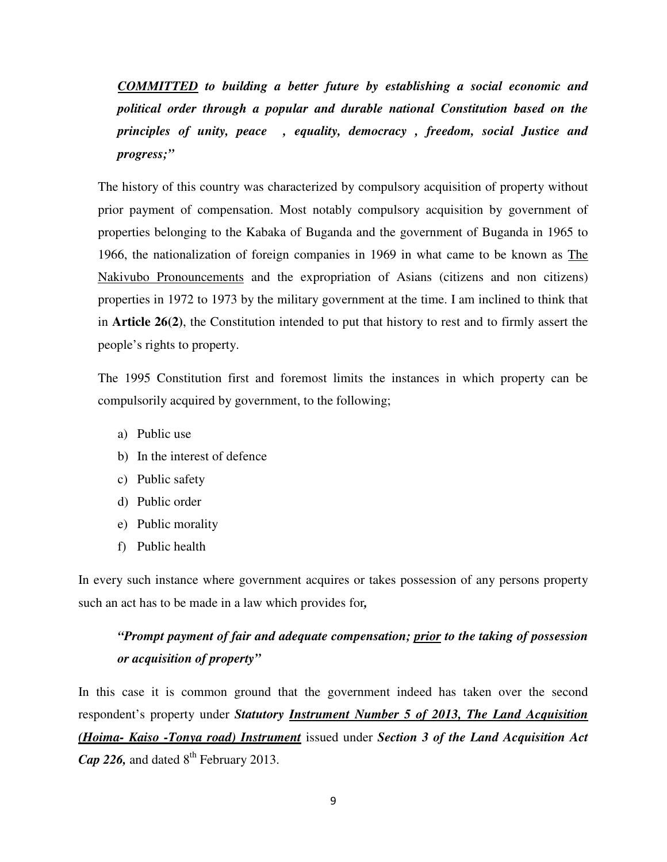*COMMITTED to building a better future by establishing a social economic and political order through a popular and durable national Constitution based on the principles of unity, peace , equality, democracy , freedom, social Justice and progress;"* 

The history of this country was characterized by compulsory acquisition of property without prior payment of compensation. Most notably compulsory acquisition by government of properties belonging to the Kabaka of Buganda and the government of Buganda in 1965 to 1966, the nationalization of foreign companies in 1969 in what came to be known as The Nakivubo Pronouncements and the expropriation of Asians (citizens and non citizens) properties in 1972 to 1973 by the military government at the time. I am inclined to think that in **Article 26(2)**, the Constitution intended to put that history to rest and to firmly assert the people's rights to property.

The 1995 Constitution first and foremost limits the instances in which property can be compulsorily acquired by government, to the following;

- a) Public use
- b) In the interest of defence
- c) Public safety
- d) Public order
- e) Public morality
- f) Public health

In every such instance where government acquires or takes possession of any persons property such an act has to be made in a law which provides for*,*

# *"Prompt payment of fair and adequate compensation; prior to the taking of possession or acquisition of property"*

In this case it is common ground that the government indeed has taken over the second respondent's property under *Statutory Instrument Number 5 of 2013, The Land Acquisition (Hoima- Kaiso -Tonya road) Instrument* issued under *Section 3 of the Land Acquisition Act Cap 226*, and dated 8<sup>th</sup> February 2013.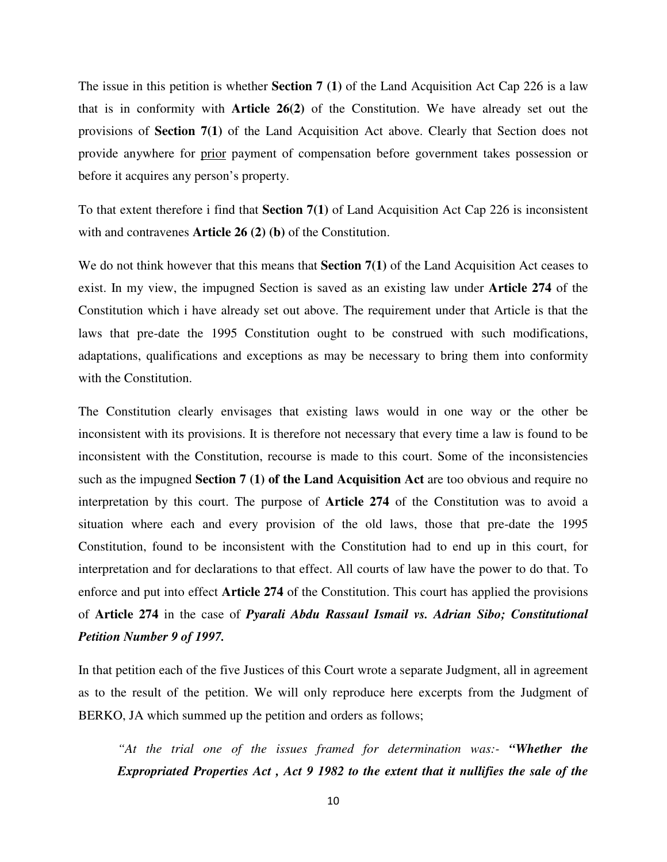The issue in this petition is whether **Section 7 (1)** of the Land Acquisition Act Cap 226 is a law that is in conformity with **Article 26(2)** of the Constitution. We have already set out the provisions of **Section 7(1)** of the Land Acquisition Act above. Clearly that Section does not provide anywhere for prior payment of compensation before government takes possession or before it acquires any person's property.

To that extent therefore i find that **Section 7(1)** of Land Acquisition Act Cap 226 is inconsistent with and contravenes **Article 26 (2) (b)** of the Constitution.

We do not think however that this means that **Section 7(1)** of the Land Acquisition Act ceases to exist. In my view, the impugned Section is saved as an existing law under **Article 274** of the Constitution which i have already set out above. The requirement under that Article is that the laws that pre-date the 1995 Constitution ought to be construed with such modifications, adaptations, qualifications and exceptions as may be necessary to bring them into conformity with the Constitution.

The Constitution clearly envisages that existing laws would in one way or the other be inconsistent with its provisions. It is therefore not necessary that every time a law is found to be inconsistent with the Constitution, recourse is made to this court. Some of the inconsistencies such as the impugned **Section 7 (1) of the Land Acquisition Act** are too obvious and require no interpretation by this court. The purpose of **Article 274** of the Constitution was to avoid a situation where each and every provision of the old laws, those that pre-date the 1995 Constitution, found to be inconsistent with the Constitution had to end up in this court, for interpretation and for declarations to that effect. All courts of law have the power to do that. To enforce and put into effect **Article 274** of the Constitution. This court has applied the provisions of **Article 274** in the case of *Pyarali Abdu Rassaul Ismail vs. Adrian Sibo; Constitutional Petition Number 9 of 1997.* 

In that petition each of the five Justices of this Court wrote a separate Judgment, all in agreement as to the result of the petition. We will only reproduce here excerpts from the Judgment of BERKO, JA which summed up the petition and orders as follows;

*"At the trial one of the issues framed for determination was:- "Whether the Expropriated Properties Act , Act 9 1982 to the extent that it nullifies the sale of the*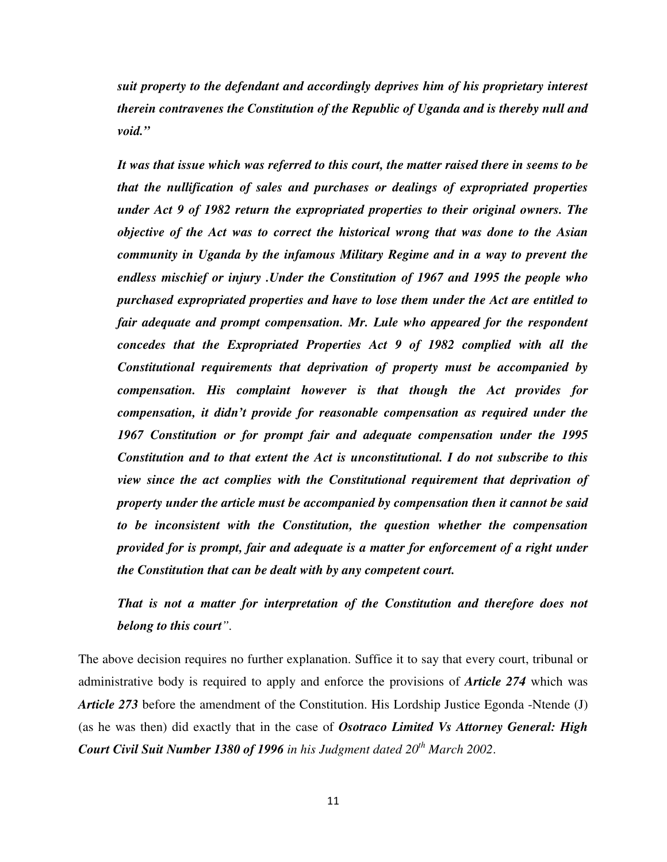*suit property to the defendant and accordingly deprives him of his proprietary interest therein contravenes the Constitution of the Republic of Uganda and is thereby null and void."* 

*It was that issue which was referred to this court, the matter raised there in seems to be that the nullification of sales and purchases or dealings of expropriated properties under Act 9 of 1982 return the expropriated properties to their original owners. The objective of the Act was to correct the historical wrong that was done to the Asian community in Uganda by the infamous Military Regime and in a way to prevent the endless mischief or injury .Under the Constitution of 1967 and 1995 the people who purchased expropriated properties and have to lose them under the Act are entitled to fair adequate and prompt compensation. Mr. Lule who appeared for the respondent concedes that the Expropriated Properties Act 9 of 1982 complied with all the Constitutional requirements that deprivation of property must be accompanied by compensation. His complaint however is that though the Act provides for compensation, it didn't provide for reasonable compensation as required under the 1967 Constitution or for prompt fair and adequate compensation under the 1995 Constitution and to that extent the Act is unconstitutional. I do not subscribe to this view since the act complies with the Constitutional requirement that deprivation of property under the article must be accompanied by compensation then it cannot be said to be inconsistent with the Constitution, the question whether the compensation provided for is prompt, fair and adequate is a matter for enforcement of a right under the Constitution that can be dealt with by any competent court.* 

*That is not a matter for interpretation of the Constitution and therefore does not belong to this court".* 

The above decision requires no further explanation. Suffice it to say that every court, tribunal or administrative body is required to apply and enforce the provisions of *Article 274* which was *Article 273* before the amendment of the Constitution. His Lordship Justice Egonda -Ntende (J) (as he was then) did exactly that in the case of *Osotraco Limited Vs Attorney General: High Court Civil Suit Number 1380 of 1996 in his Judgment dated 20th March 2002*.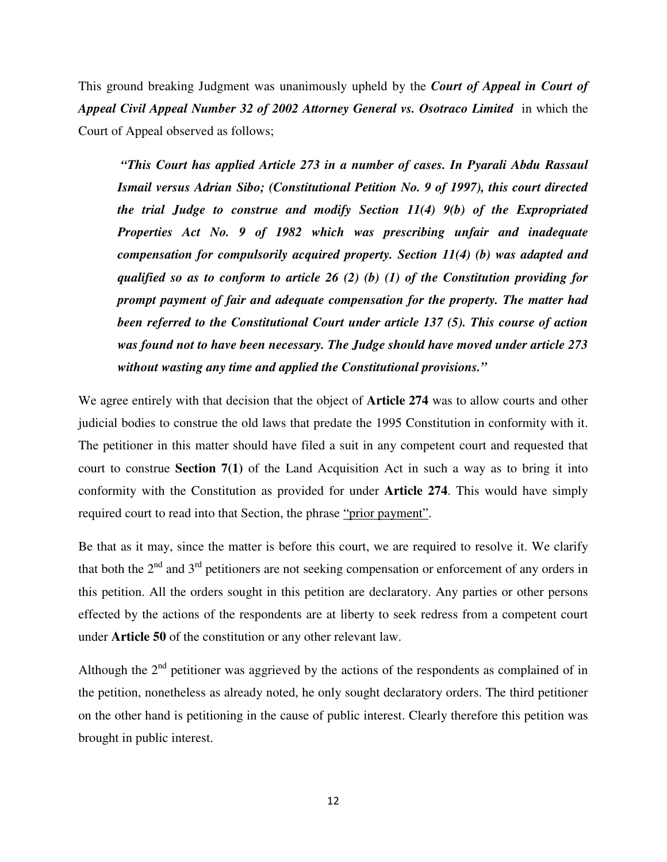This ground breaking Judgment was unanimously upheld by the *Court of Appeal in Court of Appeal Civil Appeal Number 32 of 2002 Attorney General vs. Osotraco Limited* in which the Court of Appeal observed as follows;

 *"This Court has applied Article 273 in a number of cases. In Pyarali Abdu Rassaul Ismail versus Adrian Sibo; (Constitutional Petition No. 9 of 1997), this court directed the trial Judge to construe and modify Section 11(4) 9(b) of the Expropriated Properties Act No. 9 of 1982 which was prescribing unfair and inadequate compensation for compulsorily acquired property. Section 11(4) (b) was adapted and qualified so as to conform to article 26 (2) (b) (1) of the Constitution providing for prompt payment of fair and adequate compensation for the property. The matter had been referred to the Constitutional Court under article 137 (5). This course of action was found not to have been necessary. The Judge should have moved under article 273 without wasting any time and applied the Constitutional provisions."* 

We agree entirely with that decision that the object of **Article 274** was to allow courts and other judicial bodies to construe the old laws that predate the 1995 Constitution in conformity with it. The petitioner in this matter should have filed a suit in any competent court and requested that court to construe **Section 7(1)** of the Land Acquisition Act in such a way as to bring it into conformity with the Constitution as provided for under **Article 274**. This would have simply required court to read into that Section, the phrase "prior payment".

Be that as it may, since the matter is before this court, we are required to resolve it. We clarify that both the  $2<sup>nd</sup>$  and  $3<sup>rd</sup>$  petitioners are not seeking compensation or enforcement of any orders in this petition. All the orders sought in this petition are declaratory. Any parties or other persons effected by the actions of the respondents are at liberty to seek redress from a competent court under **Article 50** of the constitution or any other relevant law.

Although the  $2<sup>nd</sup>$  petitioner was aggrieved by the actions of the respondents as complained of in the petition, nonetheless as already noted, he only sought declaratory orders. The third petitioner on the other hand is petitioning in the cause of public interest. Clearly therefore this petition was brought in public interest.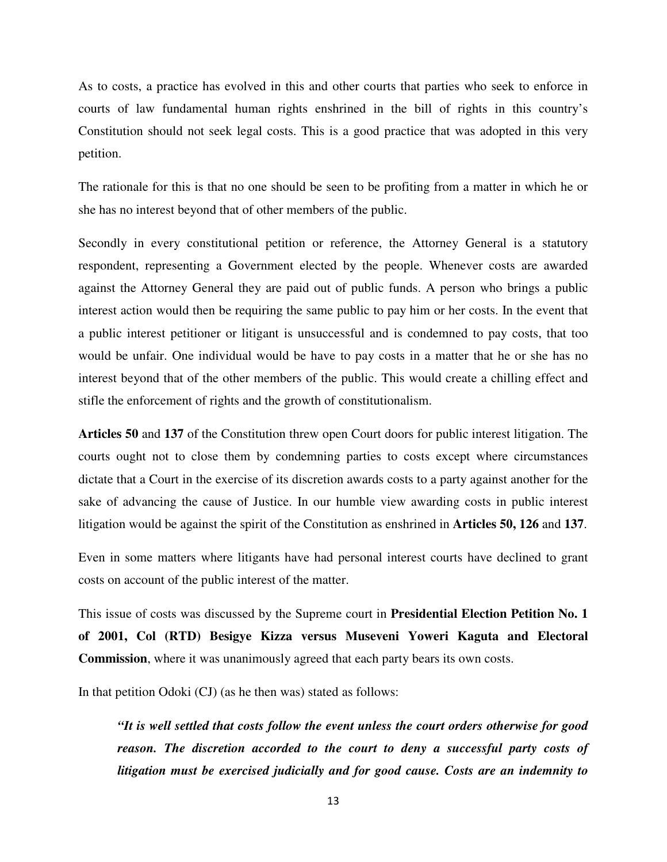As to costs, a practice has evolved in this and other courts that parties who seek to enforce in courts of law fundamental human rights enshrined in the bill of rights in this country's Constitution should not seek legal costs. This is a good practice that was adopted in this very petition.

The rationale for this is that no one should be seen to be profiting from a matter in which he or she has no interest beyond that of other members of the public.

Secondly in every constitutional petition or reference, the Attorney General is a statutory respondent, representing a Government elected by the people. Whenever costs are awarded against the Attorney General they are paid out of public funds. A person who brings a public interest action would then be requiring the same public to pay him or her costs. In the event that a public interest petitioner or litigant is unsuccessful and is condemned to pay costs, that too would be unfair. One individual would be have to pay costs in a matter that he or she has no interest beyond that of the other members of the public. This would create a chilling effect and stifle the enforcement of rights and the growth of constitutionalism.

**Articles 50** and **137** of the Constitution threw open Court doors for public interest litigation. The courts ought not to close them by condemning parties to costs except where circumstances dictate that a Court in the exercise of its discretion awards costs to a party against another for the sake of advancing the cause of Justice. In our humble view awarding costs in public interest litigation would be against the spirit of the Constitution as enshrined in **Articles 50, 126** and **137**.

Even in some matters where litigants have had personal interest courts have declined to grant costs on account of the public interest of the matter.

This issue of costs was discussed by the Supreme court in **Presidential Election Petition No. 1 of 2001, Col (RTD) Besigye Kizza versus Museveni Yoweri Kaguta and Electoral Commission**, where it was unanimously agreed that each party bears its own costs.

In that petition Odoki (CJ) (as he then was) stated as follows:

*"It is well settled that costs follow the event unless the court orders otherwise for good reason. The discretion accorded to the court to deny a successful party costs of litigation must be exercised judicially and for good cause. Costs are an indemnity to*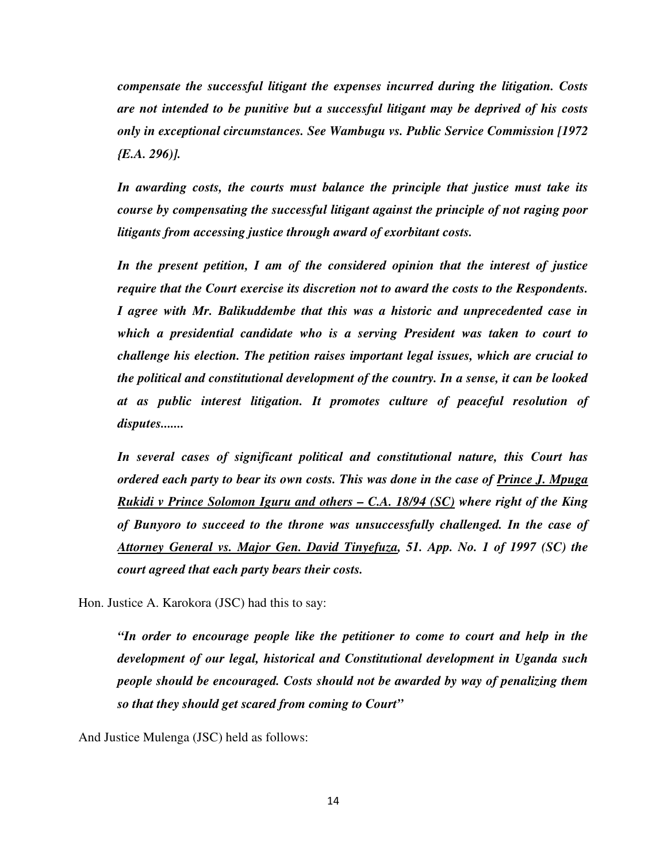*compensate the successful litigant the expenses incurred during the litigation. Costs are not intended to be punitive but a successful litigant may be deprived of his costs only in exceptional circumstances. See Wambugu vs. Public Service Commission [1972 {E.A. 296)].* 

*In awarding costs, the courts must balance the principle that justice must take its course by compensating the successful litigant against the principle of not raging poor litigants from accessing justice through award of exorbitant costs.* 

*In the present petition, I am of the considered opinion that the interest of justice require that the Court exercise its discretion not to award the costs to the Respondents. I agree with Mr. Balikuddembe that this was a historic and unprecedented case in which a presidential candidate who is a serving President was taken to court to challenge his election. The petition raises important legal issues, which are crucial to the political and constitutional development of the country. In a sense, it can be looked at as public interest litigation. It promotes culture of peaceful resolution of disputes.......* 

*In several cases of significant political and constitutional nature, this Court has ordered each party to bear its own costs. This was done in the case of Prince J. Mpuga Rukidi v Prince Solomon Iguru and others – C.A. 18/94 (SC) where right of the King of Bunyoro to succeed to the throne was unsuccessfully challenged. In the case of Attorney General vs. Major Gen. David Tinyefuza, 51. App. No. 1 of 1997 (SC) the court agreed that each party bears their costs.* 

Hon. Justice A. Karokora (JSC) had this to say:

*"In order to encourage people like the petitioner to come to court and help in the development of our legal, historical and Constitutional development in Uganda such people should be encouraged. Costs should not be awarded by way of penalizing them so that they should get scared from coming to Court"* 

And Justice Mulenga (JSC) held as follows: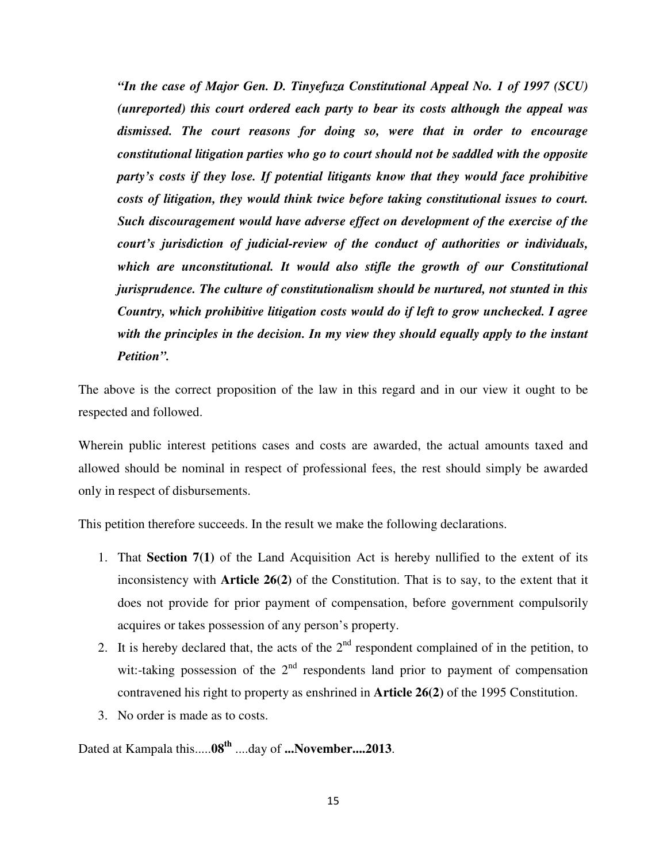*"In the case of Major Gen. D. Tinyefuza Constitutional Appeal No. 1 of 1997 (SCU) (unreported) this court ordered each party to bear its costs although the appeal was dismissed. The court reasons for doing so, were that in order to encourage constitutional litigation parties who go to court should not be saddled with the opposite party's costs if they lose. If potential litigants know that they would face prohibitive costs of litigation, they would think twice before taking constitutional issues to court. Such discouragement would have adverse effect on development of the exercise of the court's jurisdiction of judicial-review of the conduct of authorities or individuals, which are unconstitutional. It would also stifle the growth of our Constitutional jurisprudence. The culture of constitutionalism should be nurtured, not stunted in this Country, which prohibitive litigation costs would do if left to grow unchecked. I agree with the principles in the decision. In my view they should equally apply to the instant Petition".* 

The above is the correct proposition of the law in this regard and in our view it ought to be respected and followed.

Wherein public interest petitions cases and costs are awarded, the actual amounts taxed and allowed should be nominal in respect of professional fees, the rest should simply be awarded only in respect of disbursements.

This petition therefore succeeds. In the result we make the following declarations.

- 1. That **Section 7(1)** of the Land Acquisition Act is hereby nullified to the extent of its inconsistency with **Article 26(2)** of the Constitution. That is to say, to the extent that it does not provide for prior payment of compensation, before government compulsorily acquires or takes possession of any person's property.
- 2. It is hereby declared that, the acts of the  $2<sup>nd</sup>$  respondent complained of in the petition, to wit:-taking possession of the  $2<sup>nd</sup>$  respondents land prior to payment of compensation contravened his right to property as enshrined in **Article 26(2)** of the 1995 Constitution.
- 3. No order is made as to costs.

Dated at Kampala this.....**08th** ....day of **...November....2013**.